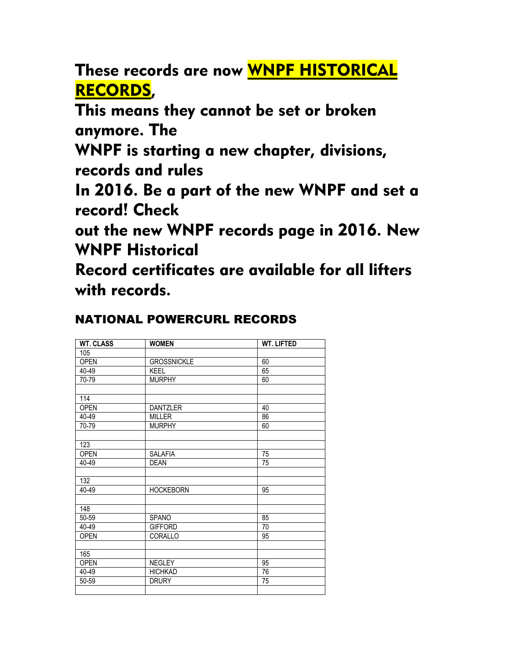These records are now WNPF HISTORICAL RECORDS,

This means they cannot be set or broken anymore. The

WNPF is starting a new chapter, divisions, records and rules

In 2016. Be a part of the new WNPF and set a record! Check

out the new WNPF records page in 2016. New WNPF Historical

Record certificates are available for all lifters with records.

## NATIONAL POWERCURL RECORDS

| <b>WT. CLASS</b> | <b>WOMEN</b>       | <b>WT. LIFTED</b> |
|------------------|--------------------|-------------------|
| 105              |                    |                   |
| <b>OPEN</b>      | <b>GROSSNICKLE</b> | 60                |
| 40-49            | KEEL               | 65                |
| 70-79            | <b>MURPHY</b>      | 60                |
|                  |                    |                   |
| 114              |                    |                   |
| <b>OPEN</b>      | <b>DANTZLER</b>    | 40                |
| 40-49            | <b>MILLER</b>      | 86                |
| 70-79            | <b>MURPHY</b>      | 60                |
|                  |                    |                   |
| 123              |                    |                   |
| <b>OPEN</b>      | SALAFIA            | 75                |
| 40-49            | <b>DEAN</b>        | 75                |
|                  |                    |                   |
| 132              |                    |                   |
| 40-49            | <b>HOCKEBORN</b>   | 95                |
|                  |                    |                   |
| 148              |                    |                   |
| 50-59            | <b>SPANO</b>       | 85                |
| 40-49            | <b>GIFFORD</b>     | 70                |
| <b>OPEN</b>      | CORALLO            | 95                |
|                  |                    |                   |
| 165              |                    |                   |
| <b>OPEN</b>      | <b>NEGLEY</b>      | 95                |
| 40-49            | <b>HICHKAD</b>     | 76                |
| 50-59            | <b>DRURY</b>       | 75                |
|                  |                    |                   |